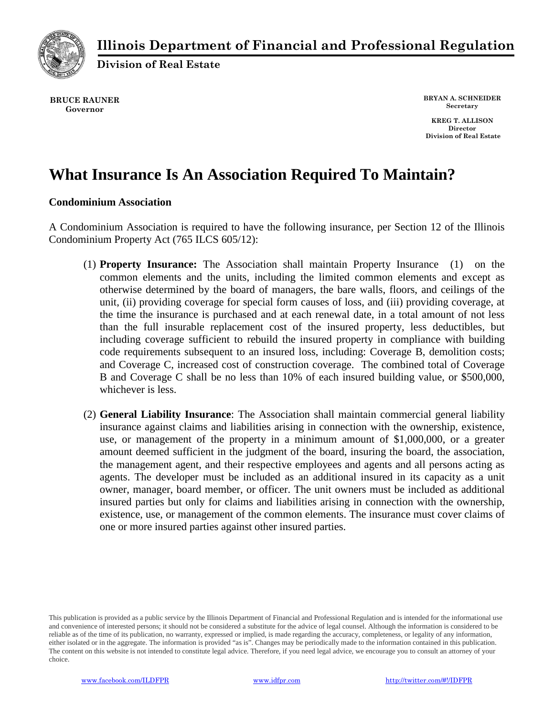

## **Illinois Department of Financial and Professional Regulation**

**Division of Real Estate**

**BRUCE RAUNER Governor**

**BRYAN A. SCHNEIDER Secretary**

**KREG T. ALLISON Director Division of Real Estate**

## **What Insurance Is An Association Required To Maintain?**

## **Condominium Association**

A Condominium Association is required to have the following insurance, per Section 12 of the Illinois Condominium Property Act (765 ILCS 605/12):

- (1) **Property Insurance:** The Association shall maintain Property Insurance (1) on the common elements and the units, including the limited common elements and except as otherwise determined by the board of managers, the bare walls, floors, and ceilings of the unit, (ii) providing coverage for special form causes of loss, and (iii) providing coverage, at the time the insurance is purchased and at each renewal date, in a total amount of not less than the full insurable replacement cost of the insured property, less deductibles, but including coverage sufficient to rebuild the insured property in compliance with building code requirements subsequent to an insured loss, including: Coverage B, demolition costs; and Coverage C, increased cost of construction coverage. The combined total of Coverage B and Coverage C shall be no less than 10% of each insured building value, or \$500,000, whichever is less.
- (2) **General Liability Insurance**: The Association shall maintain commercial general liability insurance against claims and liabilities arising in connection with the ownership, existence, use, or management of the property in a minimum amount of \$1,000,000, or a greater amount deemed sufficient in the judgment of the board, insuring the board, the association, the management agent, and their respective employees and agents and all persons acting as agents. The developer must be included as an additional insured in its capacity as a unit owner, manager, board member, or officer. The unit owners must be included as additional insured parties but only for claims and liabilities arising in connection with the ownership, existence, use, or management of the common elements. The insurance must cover claims of one or more insured parties against other insured parties.

This publication is provided as a public service by the Illinois Department of Financial and Professional Regulation and is intended for the informational use and convenience of interested persons; it should not be considered a substitute for the advice of legal counsel. Although the information is considered to be reliable as of the time of its publication, no warranty, expressed or implied, is made regarding the accuracy, completeness, or legality of any information, either isolated or in the aggregate. The information is provided "as is". Changes may be periodically made to the information contained in this publication. The content on this website is not intended to constitute legal advice. Therefore, if you need legal advice, we encourage you to consult an attorney of your choice.